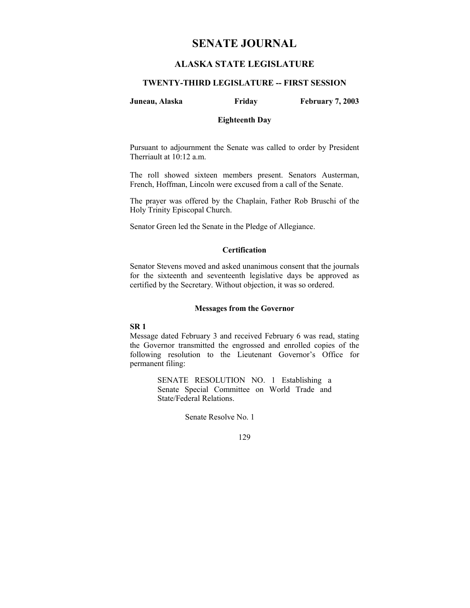# **SENATE JOURNAL**

## **ALASKA STATE LEGISLATURE**

## **TWENTY-THIRD LEGISLATURE -- FIRST SESSION**

#### **Juneau, Alaska Friday February 7, 2003**

#### **Eighteenth Day**

Pursuant to adjournment the Senate was called to order by President Therriault at 10:12 a.m.

The roll showed sixteen members present. Senators Austerman, French, Hoffman, Lincoln were excused from a call of the Senate.

The prayer was offered by the Chaplain, Father Rob Bruschi of the Holy Trinity Episcopal Church.

Senator Green led the Senate in the Pledge of Allegiance.

## **Certification**

Senator Stevens moved and asked unanimous consent that the journals for the sixteenth and seventeenth legislative days be approved as certified by the Secretary. Without objection, it was so ordered.

## **Messages from the Governor**

#### **SR 1**

Message dated February 3 and received February 6 was read, stating the Governor transmitted the engrossed and enrolled copies of the following resolution to the Lieutenant Governor's Office for permanent filing:

> SENATE RESOLUTION NO. 1 Establishing a Senate Special Committee on World Trade and State/Federal Relations.

> > Senate Resolve No. 1

129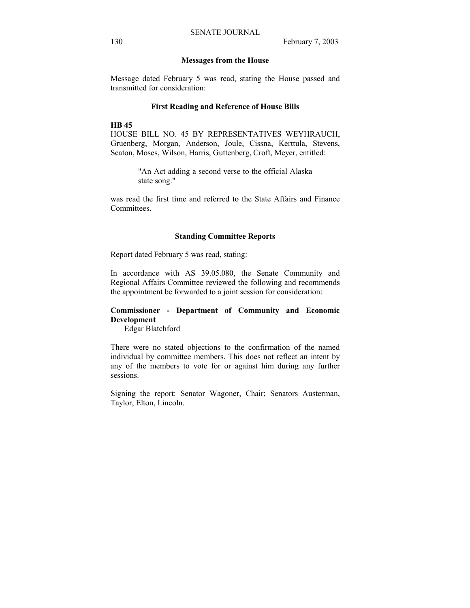#### **Messages from the House**

Message dated February 5 was read, stating the House passed and transmitted for consideration:

#### **First Reading and Reference of House Bills**

#### **HB 45**

HOUSE BILL NO. 45 BY REPRESENTATIVES WEYHRAUCH, Gruenberg, Morgan, Anderson, Joule, Cissna, Kerttula, Stevens, Seaton, Moses, Wilson, Harris, Guttenberg, Croft, Meyer, entitled:

> "An Act adding a second verse to the official Alaska state song."

was read the first time and referred to the State Affairs and Finance Committees.

#### **Standing Committee Reports**

Report dated February 5 was read, stating:

In accordance with AS 39.05.080, the Senate Community and Regional Affairs Committee reviewed the following and recommends the appointment be forwarded to a joint session for consideration:

## **Commissioner - Department of Community and Economic Development**

Edgar Blatchford

There were no stated objections to the confirmation of the named individual by committee members. This does not reflect an intent by any of the members to vote for or against him during any further sessions.

Signing the report: Senator Wagoner, Chair; Senators Austerman, Taylor, Elton, Lincoln.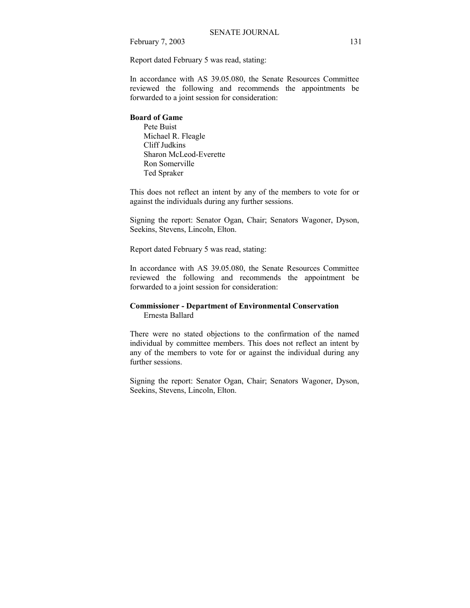February 7, 2003 131

Report dated February 5 was read, stating:

In accordance with AS 39.05.080, the Senate Resources Committee reviewed the following and recommends the appointments be forwarded to a joint session for consideration:

## **Board of Game**

 Pete Buist Michael R. Fleagle Cliff Judkins Sharon McLeod-Everette Ron Somerville Ted Spraker

This does not reflect an intent by any of the members to vote for or against the individuals during any further sessions.

Signing the report: Senator Ogan, Chair; Senators Wagoner, Dyson, Seekins, Stevens, Lincoln, Elton.

Report dated February 5 was read, stating:

In accordance with AS 39.05.080, the Senate Resources Committee reviewed the following and recommends the appointment be forwarded to a joint session for consideration:

## **Commissioner - Department of Environmental Conservation**  Ernesta Ballard

There were no stated objections to the confirmation of the named individual by committee members. This does not reflect an intent by any of the members to vote for or against the individual during any further sessions.

Signing the report: Senator Ogan, Chair; Senators Wagoner, Dyson, Seekins, Stevens, Lincoln, Elton.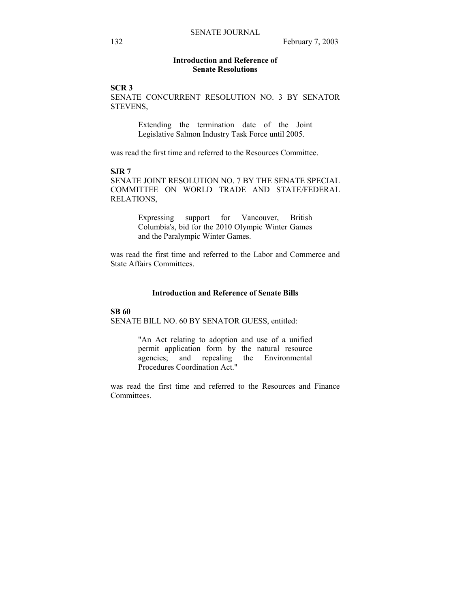## **Introduction and Reference of Senate Resolutions**

## **SCR 3**

SENATE CONCURRENT RESOLUTION NO. 3 BY SENATOR STEVENS,

> Extending the termination date of the Joint Legislative Salmon Industry Task Force until 2005.

was read the first time and referred to the Resources Committee.

## **SJR 7**

SENATE JOINT RESOLUTION NO. 7 BY THE SENATE SPECIAL COMMITTEE ON WORLD TRADE AND STATE/FEDERAL RELATIONS,

> Expressing support for Vancouver, British Columbia's, bid for the 2010 Olympic Winter Games and the Paralympic Winter Games.

was read the first time and referred to the Labor and Commerce and State Affairs Committees.

## **Introduction and Reference of Senate Bills**

#### **SB 60**

SENATE BILL NO. 60 BY SENATOR GUESS, entitled:

"An Act relating to adoption and use of a unified permit application form by the natural resource agencies; and repealing the Environmental Procedures Coordination Act."

was read the first time and referred to the Resources and Finance Committees.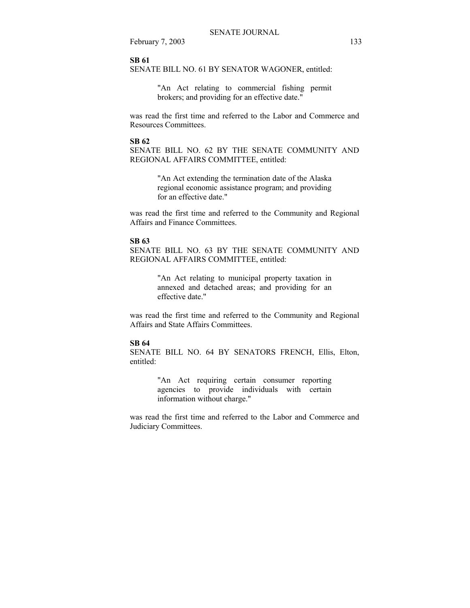February 7, 2003 133

### **SB 61**

SENATE BILL NO. 61 BY SENATOR WAGONER, entitled:

"An Act relating to commercial fishing permit brokers; and providing for an effective date."

was read the first time and referred to the Labor and Commerce and Resources Committees.

#### **SB 62**

SENATE BILL NO. 62 BY THE SENATE COMMUNITY AND REGIONAL AFFAIRS COMMITTEE, entitled:

> "An Act extending the termination date of the Alaska regional economic assistance program; and providing for an effective date."

was read the first time and referred to the Community and Regional Affairs and Finance Committees.

#### **SB 63**

SENATE BILL NO. 63 BY THE SENATE COMMUNITY AND REGIONAL AFFAIRS COMMITTEE, entitled:

> "An Act relating to municipal property taxation in annexed and detached areas; and providing for an effective date."

was read the first time and referred to the Community and Regional Affairs and State Affairs Committees.

#### **SB 64**

SENATE BILL NO. 64 BY SENATORS FRENCH, Ellis, Elton, entitled:

> "An Act requiring certain consumer reporting agencies to provide individuals with certain information without charge."

was read the first time and referred to the Labor and Commerce and Judiciary Committees.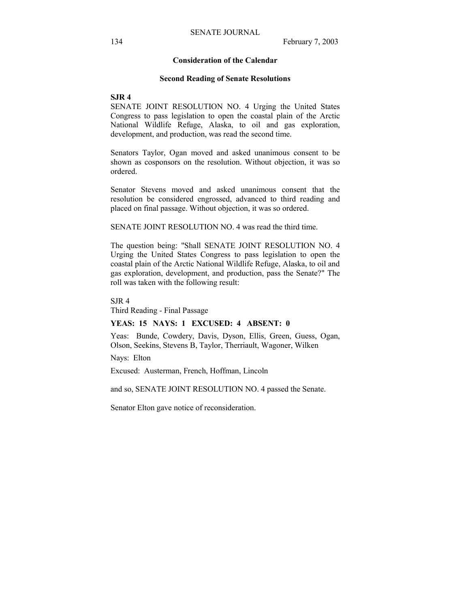## **Consideration of the Calendar**

#### **Second Reading of Senate Resolutions**

**SJR 4**

SENATE JOINT RESOLUTION NO. 4 Urging the United States Congress to pass legislation to open the coastal plain of the Arctic National Wildlife Refuge, Alaska, to oil and gas exploration, development, and production, was read the second time.

Senators Taylor, Ogan moved and asked unanimous consent to be shown as cosponsors on the resolution. Without objection, it was so ordered.

Senator Stevens moved and asked unanimous consent that the resolution be considered engrossed, advanced to third reading and placed on final passage. Without objection, it was so ordered.

SENATE JOINT RESOLUTION NO. 4 was read the third time.

The question being: "Shall SENATE JOINT RESOLUTION NO. 4 Urging the United States Congress to pass legislation to open the coastal plain of the Arctic National Wildlife Refuge, Alaska, to oil and gas exploration, development, and production, pass the Senate?" The roll was taken with the following result:

SJR 4

Third Reading - Final Passage

### **YEAS: 15 NAYS: 1 EXCUSED: 4 ABSENT: 0**

Yeas: Bunde, Cowdery, Davis, Dyson, Ellis, Green, Guess, Ogan, Olson, Seekins, Stevens B, Taylor, Therriault, Wagoner, Wilken

Nays: Elton

Excused: Austerman, French, Hoffman, Lincoln

and so, SENATE JOINT RESOLUTION NO. 4 passed the Senate.

Senator Elton gave notice of reconsideration.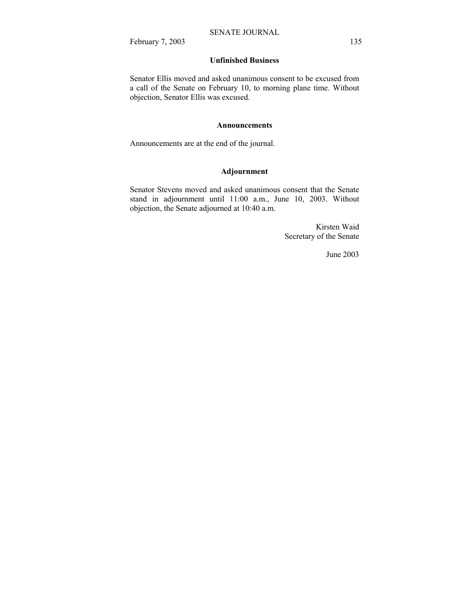February 7, 2003 135

## **Unfinished Business**

Senator Ellis moved and asked unanimous consent to be excused from a call of the Senate on February 10, to morning plane time. Without objection, Senator Ellis was excused.

#### **Announcements**

Announcements are at the end of the journal.

## **Adjournment**

Senator Stevens moved and asked unanimous consent that the Senate stand in adjournment until 11:00 a.m., June 10, 2003. Without objection, the Senate adjourned at 10:40 a.m.

> Kirsten Waid Secretary of the Senate

> > June 2003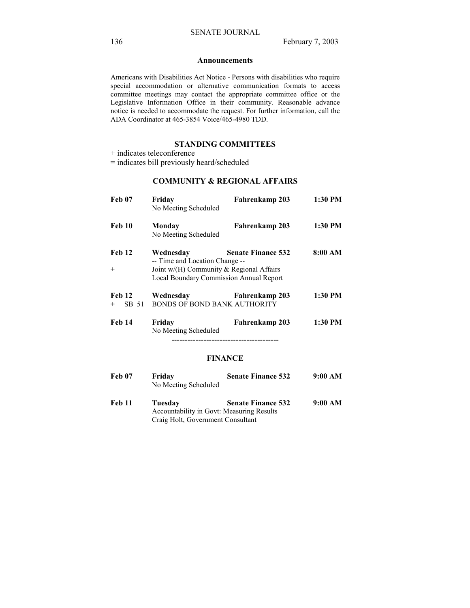#### **Announcements**

Americans with Disabilities Act Notice - Persons with disabilities who require special accommodation or alternative communication formats to access committee meetings may contact the appropriate committee office or the Legislative Information Office in their community. Reasonable advance notice is needed to accommodate the request. For further information, call the ADA Coordinator at 465-3854 Voice/465-4980 TDD.

## **STANDING COMMITTEES**

+ indicates teleconference

= indicates bill previously heard/scheduled

## **COMMUNITY & REGIONAL AFFAIRS**

| <b>Feb 07</b>             | Friday<br>No Meeting Scheduled                                                                                                        | Fahrenkamp 203            | 1:30 PM |
|---------------------------|---------------------------------------------------------------------------------------------------------------------------------------|---------------------------|---------|
| Feb 10                    | Monday<br>No Meeting Scheduled                                                                                                        | Fahrenkamp 203            | 1:30 PM |
| Feb 12<br>$+$             | Wednesday<br>-- Time and Location Change --<br>Joint w/(H) Community $\&$ Regional Affairs<br>Local Boundary Commission Annual Report | <b>Senate Finance 532</b> | 8:00 AM |
| Feb 12<br>SB 51<br>$^{+}$ | Wednesday<br>BONDS OF BOND BANK AUTHORITY                                                                                             | Fahrenkamp 203            | 1:30 PM |
| <b>Feb 14</b>             | Friday<br>No Meeting Scheduled                                                                                                        | Fahrenkamp 203            | 1:30 PM |

## **FINANCE**

| Feb 07 | Friday<br>No Meeting Scheduled                       | <b>Senate Finance 532</b> | 9:00 AM |
|--------|------------------------------------------------------|---------------------------|---------|
| Feb 11 | Tuesdav<br>Accountability in Govt: Measuring Results | <b>Senate Finance 532</b> | 9:00 AM |

Craig Holt, Government Consultant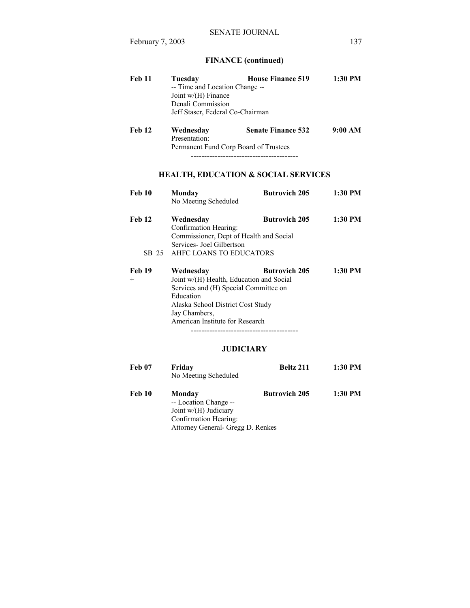# **FINANCE (continued)**

| <b>Feb 11</b> | Tuesday                          | <b>House Finance 519</b>       | 1:30 PM |  |
|---------------|----------------------------------|--------------------------------|---------|--|
|               |                                  | -- Time and Location Change -- |         |  |
|               | Joint $w/(H)$ Finance            |                                |         |  |
|               | Denali Commission                |                                |         |  |
|               | Jeff Staser, Federal Co-Chairman |                                |         |  |
| Feb 12        | Wednesday                        | <b>Senate Finance 532</b>      | 9:00 AM |  |
|               | Presentation:                    |                                |         |  |

 Permanent Fund Corp Board of Trustees ----------------------------------------

# **HEALTH, EDUCATION & SOCIAL SERVICES**

| <b>Feb 10</b> | Monday<br>No Meeting Scheduled                                                                                                                                                                       | <b>Butrovich 205</b> | $1:30$ PM |
|---------------|------------------------------------------------------------------------------------------------------------------------------------------------------------------------------------------------------|----------------------|-----------|
| <b>Feb 12</b> | Wednesday<br>Confirmation Hearing:<br>Commissioner, Dept of Health and Social<br>Services- Joel Gilbertson                                                                                           | <b>Butrovich 205</b> | $1:30$ PM |
|               | SB 25 AHFC LOANS TO EDUCATORS                                                                                                                                                                        |                      |           |
| Feb 19<br>$+$ | Wednesday<br>Joint w/(H) Health, Education and Social<br>Services and (H) Special Committee on<br>Education<br>Alaska School District Cost Study<br>Jay Chambers,<br>American Institute for Research | <b>Butrovich 205</b> | $1:30$ PM |

## **JUDICIARY**

| <b>Feb 07</b> | Friday<br>No Meeting Scheduled                                                                                         | <b>Beltz 211</b>     | 1:30 PM |
|---------------|------------------------------------------------------------------------------------------------------------------------|----------------------|---------|
| Feb 10        | Monday<br>-- Location Change --<br>Joint w/(H) Judiciary<br>Confirmation Hearing:<br>Attorney General- Gregg D. Renkes | <b>Butrovich 205</b> | 1:30 PM |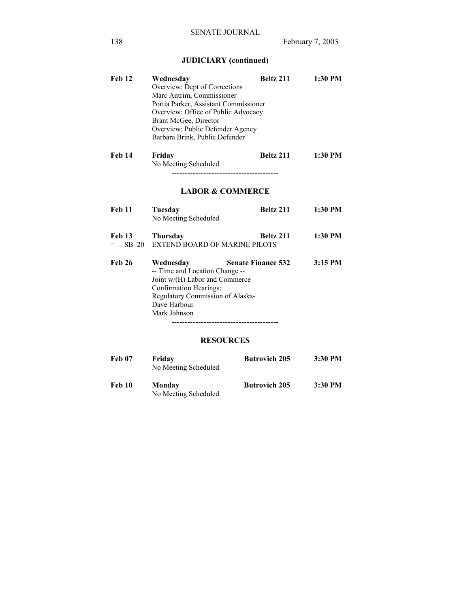# **JUDICIARY (continued)**

| <b>Feb 12</b>                     | Wednesday<br>Overview: Dept of Corrections<br>Marc Antrim, Commissioner<br>Portia Parker, Assistant Commissioner<br>Overview: Office of Public Advocacy<br>Brant McGee, Director<br>Overview: Public Defender Agency<br>Barbara Brink, Public Defender | Beltz 211                 | 1:30 PM   |
|-----------------------------------|--------------------------------------------------------------------------------------------------------------------------------------------------------------------------------------------------------------------------------------------------------|---------------------------|-----------|
| <b>Feb 14</b>                     | Friday<br>No Meeting Scheduled                                                                                                                                                                                                                         | Beltz 211                 | 1:30 PM   |
|                                   | <b>LABOR &amp; COMMERCE</b>                                                                                                                                                                                                                            |                           |           |
| <b>Feb 11</b>                     | Tuesday<br>No Meeting Scheduled                                                                                                                                                                                                                        | Beltz 211                 | 1:30 PM   |
| <b>Feb 13</b><br>SB 20<br>$=$ $-$ | <b>Thursday</b><br><b>EXTEND BOARD OF MARINE PILOTS</b>                                                                                                                                                                                                | Beltz 211                 | 1:30 PM   |
| <b>Feb 26</b>                     | Wednesday<br>-- Time and Location Change --<br>Joint w/(H) Labor and Commerce<br>Confirmation Hearings:<br>Regulatory Commission of Alaska-<br>Dave Harbour<br>Mark Johnson                                                                            | <b>Senate Finance 532</b> | $3:15$ PM |
|                                   | <b>RESOURCES</b>                                                                                                                                                                                                                                       |                           |           |
| <b>Feb 07</b>                     | Friday<br>No Meeting Scheduled                                                                                                                                                                                                                         | <b>Butrovich 205</b>      | 3:30 PM   |
| <b>Feb 10</b>                     | Monday                                                                                                                                                                                                                                                 | <b>Butrovich 205</b>      | 3:30 PM   |

No Meeting Scheduled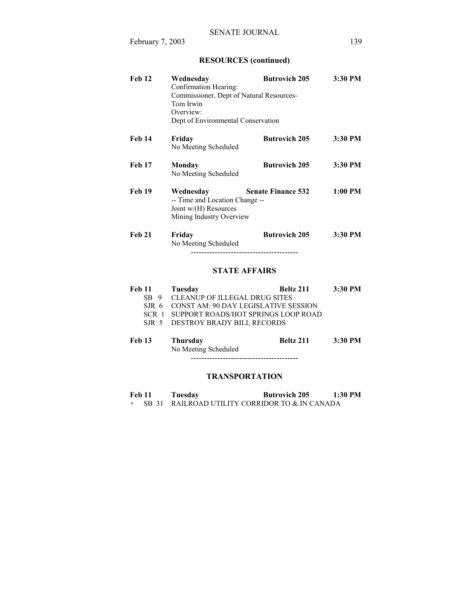# **RESOURCES (continued)**

| <b>Feb 12</b> | Wednesday<br>Confirmation Hearing:<br>Commissioner, Dept of Natural Resources-<br>Tom Irwin<br>Overview:<br>Dept of Environmental Conservation | <b>Butrovich 205</b>      | 3:30 PM   |
|---------------|------------------------------------------------------------------------------------------------------------------------------------------------|---------------------------|-----------|
| <b>Feb 14</b> | Friday<br>No Meeting Scheduled                                                                                                                 | <b>Butrovich 205</b>      | 3:30 PM   |
| <b>Feb 17</b> | Monday<br>No Meeting Scheduled                                                                                                                 | <b>Butrovich 205</b>      | 3:30 PM   |
| <b>Feb 19</b> | Wednesday<br>-- Time and Location Change --<br>Joint $w/(H)$ Resources<br>Mining Industry Overview                                             | <b>Senate Finance 532</b> | $1:00$ PM |
| <b>Feb 21</b> | Friday<br>No Meeting Scheduled                                                                                                                 | <b>Butrovich 205</b>      | 3:30 PM   |

----------------------------------------

## **STATE AFFAIRS**

| <b>Feb 11</b> | Tuesday                                 | Beltz 211 | 3:30 PM |
|---------------|-----------------------------------------|-----------|---------|
|               | SB 9 CLEANUP OF ILLEGAL DRUG SITES      |           |         |
| SIR 6         | CONST AM: 90 DAY LEGISLATIVE SESSION    |           |         |
| SCR 1         | SUPPORT ROADS/HOT SPRINGS LOOP ROAD     |           |         |
| SIR 5         | DESTROY BRADY BILL RECORDS              |           |         |
|               |                                         |           |         |
| Feb 13        | <b>Thursday</b><br>No Meeting Scheduled | Beltz 211 | 3:30 PM |

----------------------------------------

# **TRANSPORTATION**

| <b>Feb 11</b> | Tuesday | <b>Butrovich 205</b>                             | $1:30$ PM |
|---------------|---------|--------------------------------------------------|-----------|
|               |         | + SB 31 RAILROAD UTILITY CORRIDOR TO & IN CANADA |           |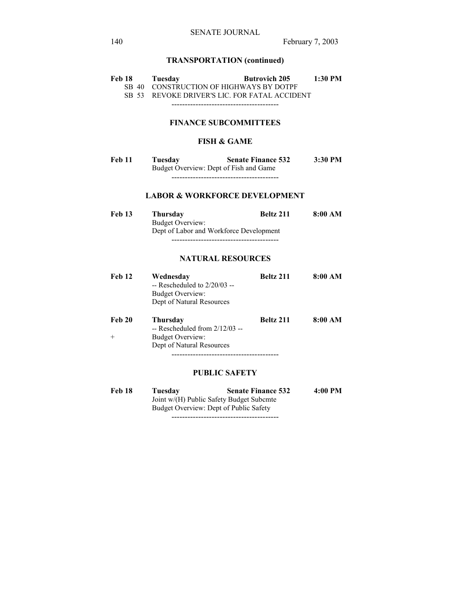# **TRANSPORTATION (continued)**

| Feb 18                       | Tuesday                                 | <b>Butrovich 205</b>                          | 1:30 PM |  |  |
|------------------------------|-----------------------------------------|-----------------------------------------------|---------|--|--|
|                              | SB 40 CONSTRUCTION OF HIGHWAYS BY DOTPF |                                               |         |  |  |
|                              |                                         | SB 53 REVOKE DRIVER'S LIC. FOR FATAL ACCIDENT |         |  |  |
|                              |                                         |                                               |         |  |  |
| <b>FINANCE SUBCOMMITTEES</b> |                                         |                                               |         |  |  |
| <b>FISH &amp; GAME</b>       |                                         |                                               |         |  |  |

Feb 11 Tuesday **Senate Finance 532** 3:30 PM Budget Overview: Dept of Fish and Game ----------------------------------------

## **LABOR & WORKFORCE DEVELOPMENT**

| <b>Feb 13</b> | <b>Thursday</b>                         | Beltz 211 | 8:00 AM |
|---------------|-----------------------------------------|-----------|---------|
|               | Budget Overview:                        |           |         |
|               | Dept of Labor and Workforce Development |           |         |
|               |                                         |           |         |

## **NATURAL RESOURCES**

| Feb 12        | Wednesday<br>$-$ Rescheduled to $2/20/03 -$<br>Budget Overview:<br>Dept of Natural Resources | <b>Beltz 211</b> | 8:00 AM |
|---------------|----------------------------------------------------------------------------------------------|------------------|---------|
| <b>Feb 20</b> | <b>Thursday</b><br>$-$ Rescheduled from $2/12/03 -$                                          | <b>Beltz 211</b> | 8:00 AM |
| $+$           | <b>Budget Overview:</b>                                                                      |                  |         |
|               | Dept of Natural Resources                                                                    |                  |         |
|               |                                                                                              |                  |         |

## **PUBLIC SAFETY**

| Feb 18 | Tuesdav                                  | <b>Senate Finance 532</b> | 4:00 PM |
|--------|------------------------------------------|---------------------------|---------|
|        | Joint w/(H) Public Safety Budget Subcmte |                           |         |
|        | Budget Overview: Dept of Public Safety   |                           |         |
|        |                                          |                           |         |